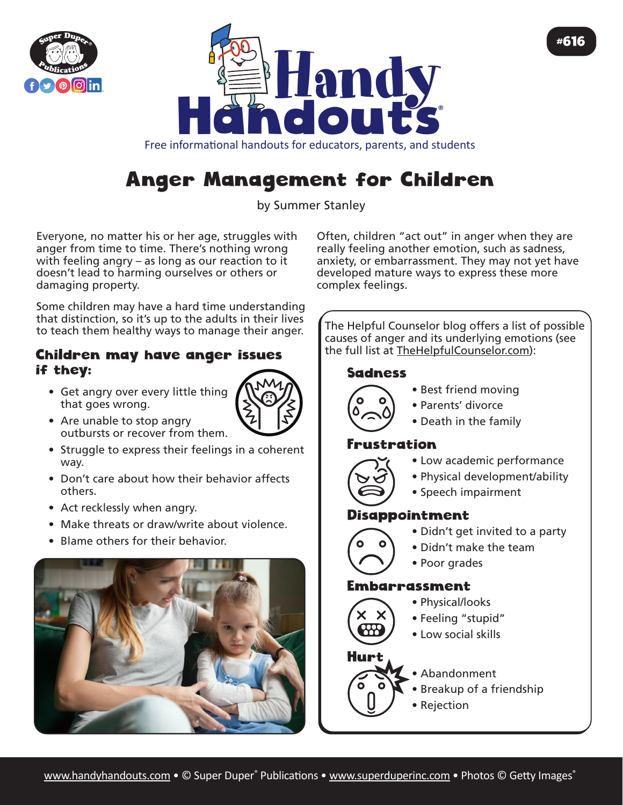



Free informational handouts for educators, parents, and students

# Anger Management for Children

by Summer Stanley

Everyone, no matter his or her age, struggles with anger from time to time. There's nothing wrong with feeling angry – as long as our reaction to it doesn't lead to harming ourselves or others or damaging property.

Some children may have a hard time understanding that distinction, so it's up to the adults in their lives to teach them healthy ways to manage their anger.

#### Children may have anger issues if they:

• Get angry over every little thing that goes wrong.



- Are unable to stop angry outbursts or recover from them.
- Struggle to express their feelings in a coherent way.
- Don't care about how their behavior affects others.
- Act recklessly when angry.
- Make threats or draw/write about violence.
- Blame others for their behavior.



Often, children "act out" in anger when they are really feeling another emotion, such as sadness, anxiety, or embarrassment. They may not yet have developed mature ways to express these more complex feelings.

#616

The Helpful Counselor blog offers a list of possible causes of anger and its underlying emotions (see the full list at [TheHelpfulCounselor.com](https://www.thehelpfulcounselor.com/75-reasons-behind-your-childs-anger/)):

#### Sadness



- Best friend moving
- Parents' divorce
- Death in the family

## rustration



- Low academic performance
- Physical development/ability
- Speech impairment

## Disappointment

- 
- Didn't get invited to a party
- Didn't make the team
- Poor grades

## Embarrassment

- Physical/looks
- Feeling "stupid"
- Low social skills



- Abandonment
- Breakup of a friendship
- Rejection